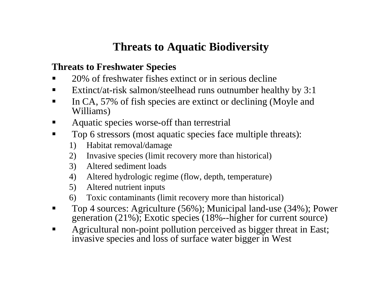## **Threats to Aquatic Biodiversity**

### **Threats to Freshwater Species**

- П • 20% of freshwater fishes extinct or in serious decline
- $\blacksquare$ Extinct/at-risk salmon/steelhead runs outnumber healthy by 3:1
- $\blacksquare$  In CA, 57% of fish species are extinct or declining (Moyle and Williams)
- $\blacksquare$ Aquatic species worse-off than terrestrial
- $\blacksquare$  Top 6 stressors (most aquatic species face multiple threats):
	- 1) Habitat removal/damage
	- 2) Invasive species (limit recovery more than historical)
	- 3) Altered sediment loads
	- 4) Altered hydrologic regime (flow, depth, temperature)
	- 5) Altered nutrient inputs
	- 6) Toxic contaminants (limit recovery more than historical)
- $\blacksquare$  Top 4 sources: Agriculture (56%); Municipal land-use (34%); Power generat ion (21%); Exotic species (18%--higher for current source)
- П Agricultural non-point pollution perceived as bigger threat in East; invasive species and loss of surface water bigger in West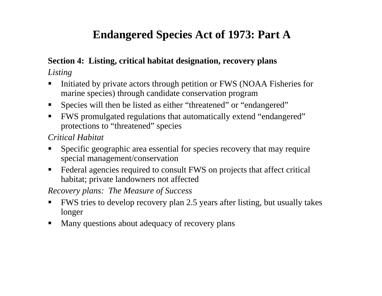### **Endangered Species Act of 1973: Part A**

#### **Section 4: Listing, critical habitat designation, recovery plans** *Listing*

- Initiated by private actors through petition or FWS (NOAA Fisheries for marine species) through candidate conservation program
- $\blacksquare$ Species will then be listed as either "threatened" or "endangered"
- $\blacksquare$  FWS promulgated regulations that automatically extend "endangered" protections to "threatened" species

#### *Critical Habitat*

- Specific geographic area essential for species recovery that may require special management/conservation
- $\blacksquare$  Federal agencies required to consult FWS on projects that affect critical habitat; private landowners not affected

*Recovery plans: The Measure of Success*

- $\blacksquare$  FWS tries to develop recovery plan 2.5 years after listing, but usually takes longer
- $\blacksquare$ Many questions about adequacy of recovery plans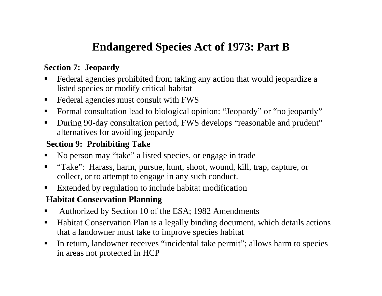### **Endangered Species Act of 1973: Part B**

#### **Section 7: Jeopardy**

- Federal agencies prohibited from taking any action that would jeopardize a listed species or modify critical habitat
- $\blacksquare$ Federal agencies must consult with FWS
- $\blacksquare$ Formal consultation lead to biological opinion: "Jeopardy" or "no jeopardy"
- $\blacksquare$  During 90-day consultation period, FWS develops "reasonable and prudent" alternatives for avoiding jeopardy

#### **Section 9: Prohibiting Take**

- No person may "take" a listed species, or engage in trade
- ▉ "Take": Harass, harm, pursue, hunt, shoot, wound, kill, trap, capture, or collect, or to attempt to engage in any such conduct.
- $\blacksquare$ Extended by regulation to include habitat modification

#### **Habitat Conservation Planning**

- Authorized by Section 10 of the ESA; 1982 Amendments
- $\blacksquare$  Habitat Conservation Plan is a legally binding document, which details actions that a landowner must take to improve species habitat
- $\blacksquare$  In return, landowner receives "incidental take permit"; allows harm to species in areas not protected in HCP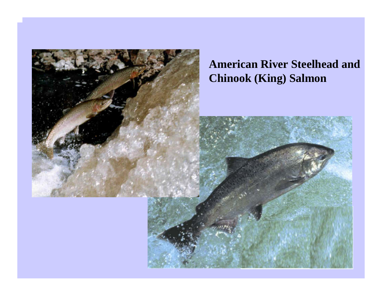

## **American River Steelhead and Chinook (King) Salmon**

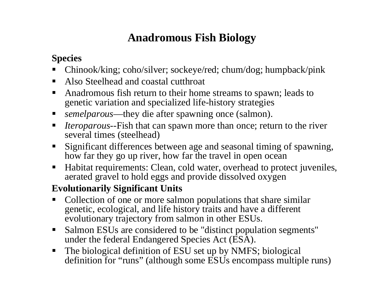### **Anadromous Fish Biology**

### **Species**

- П Chinook/king; coho/silver; sockeye/red; chum/dog; humpback/pink
- $\blacksquare$ Also Steelhead and coastal cutthroat
- $\blacksquare$  Anadromous fish return to their home streams to spawn; leads to genetic variation and specialized life-history strategies
- $\blacksquare$ *semelparous*—they die after spawning once (salmon).
- $\blacksquare$  *Iteroparous--*Fish that can spawn more than once; return to the river several times (steelhead)
- $\blacksquare$  Significant differences between age and seasonal timing of spawning, how far they go up river, how far the travel in open ocean
- $\blacksquare$  Habitat requirements: Clean, cold water, overhead to protect juveniles, aerated gravel to hold eggs and provide dissolved oxygen

### **Evolutionarily Significant Units**

- п Collection of one or more salmon populations that share similar genetic, ecological, and life history traits and have a different evolutionary trajectory from salmon in other ESUs.
- $\blacksquare$  Salmon ESUs are considered to be "distinct population segments" under the federal Endangered Species Act (ESA).
- $\blacksquare$  The biological definition of ESU set up by NMFS; biological definition for "runs" (although some ESUs encompass multiple runs)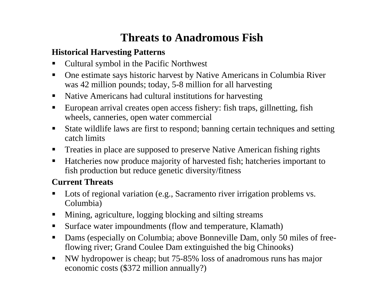### **Threats to Anadromous Fish**

#### **Historical Harvesting Patterns**

- $\blacksquare$ Cultural symbol in the Pacific Northwest
- $\blacksquare$  One estimate says historic harvest by Native A mericans in Columbia River was 42 million pounds; today, 5-8 million for all harvesting
- $\blacksquare$ Native Americans had cultural institutions for harvesting
- $\blacksquare$  European arrival creates open access fishery: fish traps, gillnetting, fish wheels, canneries, open water commercial
- $\blacksquare$  State wildlife laws are first to respond; banning certain techniques and setting catch limits
- $\blacksquare$ Treaties in place are supposed to preserve Native American fishing rights
- $\blacksquare$  Hatcheries now produce majority of harvested fish; hatcheries important to fish production but reduce genetic diversity/fitness

### **Current Threats**

- $\blacksquare$  Lots of regional variation (e.g., Sacramento river irrigation problems vs. Columbia)
- $\blacksquare$ Mining, agriculture, logging blocking and silting streams
- $\blacksquare$ Surface water impoundments (flow and temperature, Klamath)
- $\blacksquare$  Dams (especially on Columbia; above Bonneville Dam, only 50 miles of freeflowing river; Grand Coulee Dam extinguished the big Chinooks)
- $\blacksquare$  NW hydropower is cheap; but 75-85% loss of anadromous runs has major economic costs (\$372 million annually?)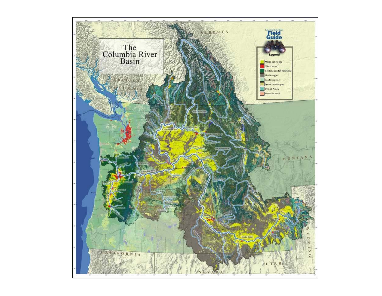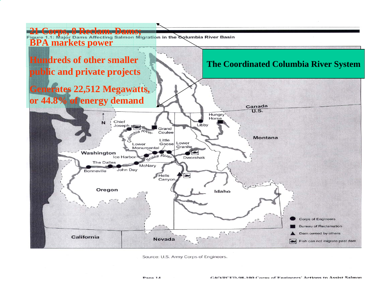

Source: U.S. Army Corps of Engineers.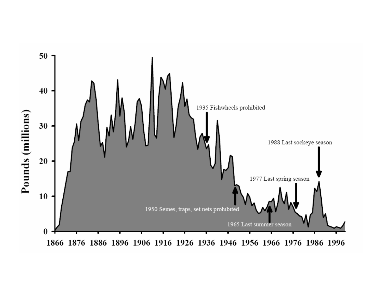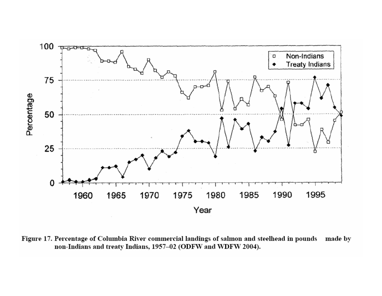

Figure 17. Percentage of Columbia River commercial landings of salmon and steelhead in pounds made by non-Indians and treaty Indians, 1957-02 (ODFW and WDFW 2004).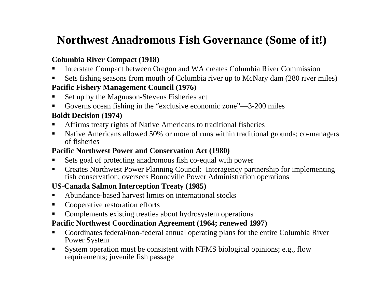## **Northwest Anadromous Fish Governance (Some of it!)**

#### **Columbia River Compact (1918)**

- ▉ ■ Interstate Compact between Oregon and WA creates Columbia River Commission
- Sets fishing seasons from mouth of C olumbia river up to McNary dam (280 river miles) **Pacific Fishery Management Council (1976)**
- ▉ Set up by the Magnuson-Stevens Fisheries act
- Governs ocean fishing in the "exclusive economic zone"—3-200 miles

#### **Boldt Decision (1974)**

- $\blacksquare$ Affirms treaty rights of Native Americans to traditional fisheries
- $\blacksquare$  Native Americans allowed 50% or more of runs within traditional grounds; co-managers of fisheries

#### **Pacific North west Power and Conservation Act (1980)**

- ▉ Sets goal of protecting anadromous fish co-equal with power
- $\blacksquare$ • Creates Northwest Power Planning Council: Interagency partnership for implementing fish conservation; oversees B onneville Power Administration operations

#### **US-Canada Salmon Interception Treat y (1985)**

- Abundance-based harvest limits on international stocks
- $\blacksquare$ C ooperative restoration efforts
- ▉ C omplements existing treaties about hydrosystem operations

#### **Pacific North west Coordination Agreement (1964; renewed 1997)**

- $\blacksquare$ Coordinates federal/non-federal annual operating plans for the entire Columbia River Power System
- $\blacksquare$  System operation must be consistent with NFMS biological opinions; e.g., flow requirements; juvenile fish passage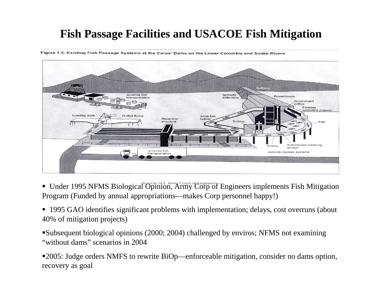### **Fish Passage Facilities and USACOE Fish Mitigation**

Figure 1.2: Existing Fish Passage Systems at the Corps' Dams on the Lower Columbia and Snake Rivers



- Under 1995 NFMS Biological Opinion, Army Corp of Engineers implements Fish Mitigation Program (Funded by annual appropriations— makes C orp personnel happy!)
- 1995 GAO identi fies signi ficant problems with implementation; delays, cost overruns (about 40% of mitigation projects)

Subsequent biological opinions ( 2000; 2004) challenged by enviros; NFMS not examining "without dams" scenarios in 2004

2005: Judge orders NMFS to rewrite BiOp—enforceable mitigation, consider no dams option, recover y as goal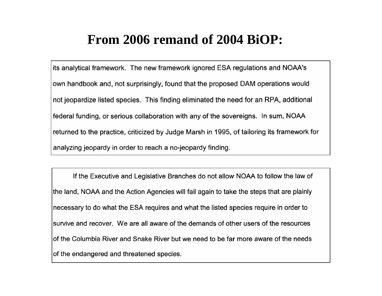# **From 2006 remand of 2004 BiOP:**

its analytical framework. The new framework ignored ESA regulations and NOAA's own handbook and, not surprisingly, found that the proposed DAM operations would not jeopardize listed species. This finding eliminated the need for an RPA, additional federal funding, or serious collaboration with any of the sovereigns. In sum, NOAA returned to the practice, criticized by Judge Marsh in 1995, of tailoring its framework for analyzing jeopardy in order to reach a no-jeopardy finding.

If the Executive and Legislative Branches do not allow NOAA to follow the law of the land, NOAA and the Action Agencies will fail again to take the steps that are plainly necessary to do what the ESA requires and what the listed species require in order to survive and recover. We are all aware of the demands of other users of the resources of the Columbia River and Snake River but we need to be far more aware of the needs of the endangered and threatened species.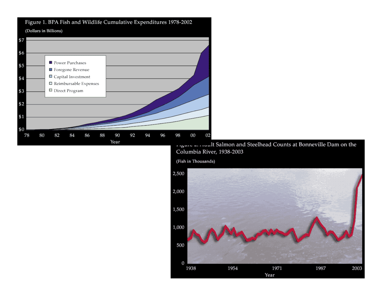

Figure 1. BPA Fish and Wildlife Cumulative Expenditures 1978-2002

Columbia River, 1938-2003

(Fish in Thousands)

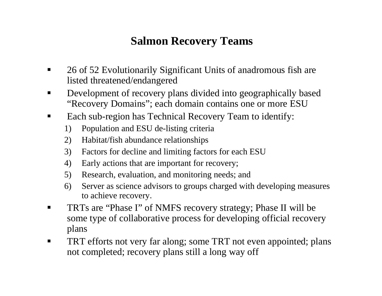### **Salmon Recovery Teams**

- $\blacksquare$ ■ 26 of 52 Evolutionarily Significant Units of anadromous fish are listed threatened/endangered
- $\blacksquare$ ■ Development of recovery plans divided into geographically based "Recovery Domains"; each domain contains one or more ESU
- $\blacksquare$  Each sub-region has Technical Recovery Team to identify:
	- 1) Population and ESU de-listing criteria
	- 2) Habitat/fish abundance relationships
	- 3) Factors for decline and limiting factors for each ESU
	- 4) Early actions that are important for recovery;
	- 5) Research, evaluation, and monitoring needs; and
	- 6) Server as science advisors to groups charged with developing measures to achieve recovery.
- ٠ ■ TRTs are "Phase I" of NMFS recovery strategy; Phase II will be some type of collaborative process for developing official recovery plans
- TRT efforts not very far along; some TRT not even appointed; plans not completed; recovery plans still a long way off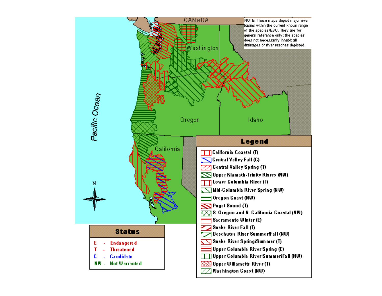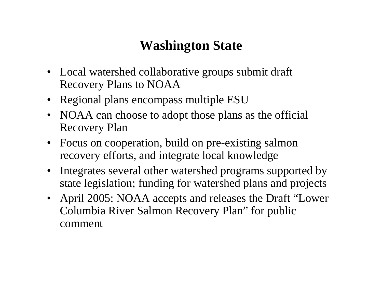# **Washington State**

- Local watershed collaborative groups submit draft Recovery Plans to NOAA
- Regional plans encompass multiple ESU
- NOAA can choose to adopt those plans as the official Recovery Plan
- Focus on cooperation, build on pre-existing salmon recovery efforts, and integrate local knowledge
- Integrates several other watershed programs supported by state legislation; funding for watershed plans and projects
- April 2005: NOAA accepts and releases the Draft "Lower Columbia River Salmon Recovery Plan" for public comment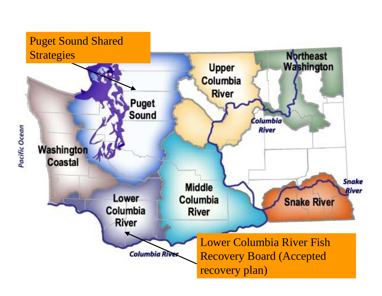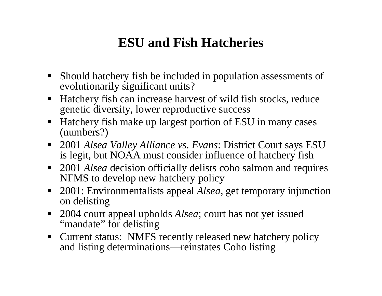# **ESU and Fish Hatcheries**

- Should hatchery fish be included in population assessm ents of evolutionarily significant units?
- $\blacksquare$  Hatchery fish can increase harvest of wild fish stocks, reduce genetic diversity, lower reproductive success
- $\blacksquare$  Hatchery fish make up largest portion of ESU in many cases (numbers?)
- 2001 *Alsea Valley Alliance vs. Evans*: District Court says ESU is legit, but NOAA must consider influence of hatchery fish
- 2001 *Alsea* decision officially delists coho salmon and requires NFMS to develop new hatchery policy
- $\blacksquare$  . 2001: Environmentalists appeal *Alsea*, get temporary injunction on delisting
- 2004 court appeal upholds *Alsea*; court has not yet issued "mandate" for delisting
- Current status: NMFS recently released new hatchery policy and listing determinations—reinstates Coho listing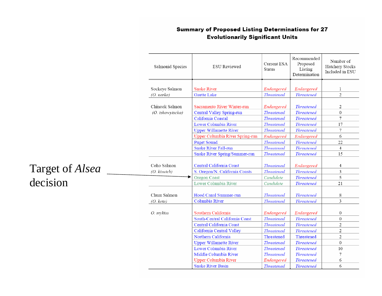#### **Summary of Proposed Listing Determinations for 27 Evolutionarily Significant Units**

| Salmonid Species                   | <b>ESU</b> Reviewed             | <b>Current ESA</b><br><b>Status</b> | Recommended<br>Proposed<br>Listing<br>Determination | Number of<br>Hatchery Stocks<br>Included in ESU |
|------------------------------------|---------------------------------|-------------------------------------|-----------------------------------------------------|-------------------------------------------------|
|                                    |                                 |                                     |                                                     |                                                 |
| Sockeye Salmon                     | <b>Snake River</b>              | Endangered                          | Endangered                                          | 1                                               |
| (O. nerka)                         | <b>Ozette Lake</b>              | <b>Threatened</b>                   | <b>Threatened</b>                                   | $\overline{c}$                                  |
| Chinook Salmon<br>(O. tshawytscha) | Sacramento River Winter-run     | Endangered                          | <b>Threatened</b>                                   | $\sqrt{2}$                                      |
|                                    | Central Valley Spring-run       | <b>Threatened</b>                   | <b>Threatened</b>                                   | $\boldsymbol{0}$                                |
|                                    | California Coastal              | <b>Threatened</b>                   | <b>Threatened</b>                                   | 7                                               |
|                                    | Lower Columbia River            | <b>Threatened</b>                   | <b>Threatened</b>                                   | 17                                              |
|                                    | <b>Upper Willamette River</b>   | <b>Threatened</b>                   | <b>Threatened</b>                                   | $\overline{7}$                                  |
|                                    | Upper Columbia River Spring-run | Endangered                          | Endangered                                          | 6                                               |
|                                    | <b>Puget Sound</b>              | <b>Threatened</b>                   | <b>Threatened</b>                                   | 22                                              |
|                                    | <b>Snake River Fall-run</b>     | <b>Threatened</b>                   | <b>Threatened</b>                                   | $\overline{4}$                                  |
|                                    | Snake River Spring/Summer-run   | <b>Threatened</b>                   | <b>Threatened</b>                                   | 15                                              |
| Coho Salmon                        | Central California Coast        | <b>Threatened</b>                   | Endangered                                          | $\overline{4}$                                  |
| (O. kisutch)                       | S. Oregon/N. California Coasts  | <b>Threatened</b>                   | <b>Threatened</b>                                   | 3                                               |
|                                    | <b>Oregon Coast</b>             | Candidate                           | <b>Threatened</b>                                   | 5                                               |
|                                    | Lower Columbia River            | Candidate                           | <b>Threatened</b>                                   | 21                                              |
| Chum Salmon                        | Hood Canal Summer-run           | <b>Threatened</b>                   | <b>Threatened</b>                                   | 8                                               |
| (O. keta)                          | Columbia River                  | <b>Threatened</b>                   | <b>Threatened</b>                                   | 3                                               |
| O. mykiss                          | Southern California             | Endangered                          | Endangered                                          | $\mathbf{0}$                                    |
|                                    | South-Central California Coast  | <b>Threatened</b>                   | <b>Threatened</b>                                   | $\mathbf{0}$                                    |
|                                    | Central California Coast        | <b>Threatened</b>                   | <b>Threatened</b>                                   | $\overline{2}$                                  |
|                                    | California Central Valley       | <b>Threatened</b>                   | <b>Threatened</b>                                   | $\overline{c}$                                  |
|                                    | Northern California             | Threatened                          | Threatened                                          | $\mathfrak{2}$                                  |
|                                    | <b>Upper Willamette River</b>   | <b>Threatened</b>                   | <b>Threatened</b>                                   | $\mathbf{0}$                                    |
|                                    | Lower Columbia River            | <b>Threatened</b>                   | <b>Threatened</b>                                   | 10                                              |
|                                    | Middle Columbia River           | <b>Threatened</b>                   | <b>Threatened</b>                                   | 7                                               |
|                                    | <b>Upper Columbia River</b>     | Endangered                          | <b>Threatened</b>                                   | 6                                               |
|                                    | <b>Snake River Basin</b>        | <b>Threatened</b>                   | <b>Threatened</b>                                   | 6                                               |

### Target of *Alsea* decision